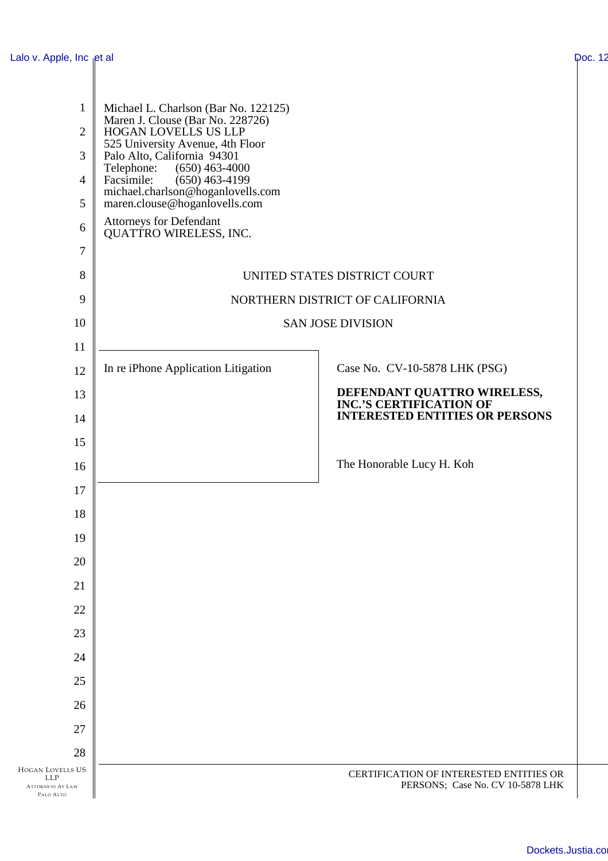| Lalo v. Apple, Inc et al                                                      |                                                                                                  |                                                                             | Doc. 12 |
|-------------------------------------------------------------------------------|--------------------------------------------------------------------------------------------------|-----------------------------------------------------------------------------|---------|
|                                                                               |                                                                                                  |                                                                             |         |
| $\mathbf{1}$<br>$\overline{2}$                                                | Michael L. Charlson (Bar No. 122125)<br>Maren J. Clouse (Bar No. 228726)<br>HOGAN LOVELLS US LLP |                                                                             |         |
| 3                                                                             | 525 University Avenue, 4th Floor<br>Palo Alto, California 94301                                  |                                                                             |         |
| $\overline{4}$                                                                | $(650)$ 463-4000<br>Telephone:<br>Facsimile:<br>$(650)$ 463-4199                                 |                                                                             |         |
| 5                                                                             | michael.charlson@hoganlovells.com<br>maren.clouse@hoganlovells.com                               |                                                                             |         |
| 6                                                                             | Attorneys for Defendant<br><b>QUATTRO WIRELESS, INC.</b>                                         |                                                                             |         |
| $\tau$                                                                        |                                                                                                  |                                                                             |         |
| 8                                                                             | UNITED STATES DISTRICT COURT                                                                     |                                                                             |         |
| 9                                                                             | NORTHERN DISTRICT OF CALIFORNIA                                                                  |                                                                             |         |
| 10                                                                            | <b>SAN JOSE DIVISION</b>                                                                         |                                                                             |         |
| 11                                                                            |                                                                                                  |                                                                             |         |
| 12                                                                            | In re iPhone Application Litigation                                                              | Case No. CV-10-5878 LHK (PSG)                                               |         |
| 13                                                                            |                                                                                                  | DEFENDANT QUATTRO WIRELESS, INC.'S CERTIFICATION OF                         |         |
| 14                                                                            |                                                                                                  | <b>INTERESTED ENTITIES OR PERSONS</b>                                       |         |
| 15                                                                            |                                                                                                  |                                                                             |         |
| 16                                                                            |                                                                                                  | The Honorable Lucy H. Koh                                                   |         |
| 17                                                                            |                                                                                                  |                                                                             |         |
| 18                                                                            |                                                                                                  |                                                                             |         |
| 19                                                                            |                                                                                                  |                                                                             |         |
| 20                                                                            |                                                                                                  |                                                                             |         |
| 21                                                                            |                                                                                                  |                                                                             |         |
| 22                                                                            |                                                                                                  |                                                                             |         |
| 23                                                                            |                                                                                                  |                                                                             |         |
| 24                                                                            |                                                                                                  |                                                                             |         |
| 25                                                                            |                                                                                                  |                                                                             |         |
| 26                                                                            |                                                                                                  |                                                                             |         |
| 27                                                                            |                                                                                                  |                                                                             |         |
| 28                                                                            |                                                                                                  |                                                                             |         |
| <b>HOGAN LOVELLS US</b><br><b>LLP</b><br><b>ATTORNEYS AT LAW</b><br>PALO ALTO |                                                                                                  | CERTIFICATION OF INTERESTED ENTITIES OR<br>PERSONS; Case No. CV 10-5878 LHK |         |